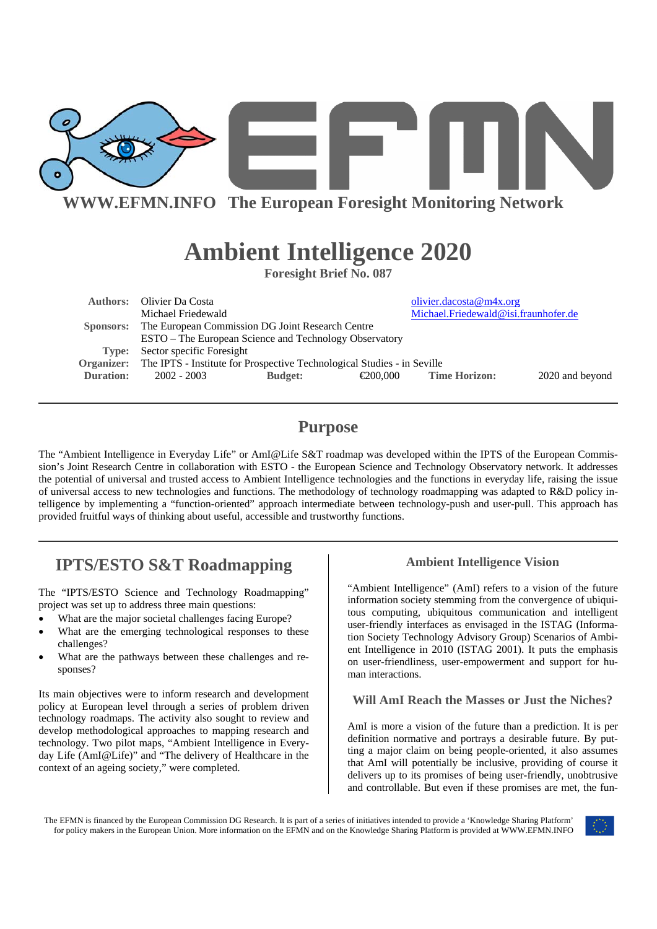

**WWW.EFMN.INFO The European Foresight Monitoring Network**

# **Ambient Intelligence 2020**

**Foresight Brief No. 087**

|           | <b>Authors:</b> Olivier Da Costa                                                          |                |          | olivier.dacosta@m4x.org              |                 |
|-----------|-------------------------------------------------------------------------------------------|----------------|----------|--------------------------------------|-----------------|
|           | Michael Friedewald                                                                        |                |          | Michael.Friedewald@isi.fraunhofer.de |                 |
|           | Sponsors: The European Commission DG Joint Research Centre                                |                |          |                                      |                 |
|           | ESTO – The European Science and Technology Observatory                                    |                |          |                                      |                 |
|           | <b>Type:</b> Sector specific Foresight                                                    |                |          |                                      |                 |
|           | <b>Organizer:</b> The IPTS - Institute for Prospective Technological Studies - in Seville |                |          |                                      |                 |
| Duration: | 2002 - 2003                                                                               | <b>Budget:</b> | €200.000 | <b>Time Horizon:</b>                 | 2020 and beyond |
|           |                                                                                           |                |          |                                      |                 |

# **Purpose**

The "Ambient Intelligence in Everyday Life" or AmI@Life S&T roadmap was developed within the IPTS of the European Commission's Joint Research Centre in collaboration with ESTO - the European Science and Technology Observatory network. It addresses the potential of universal and trusted access to Ambient Intelligence technologies and the functions in everyday life, raising the issue of universal access to new technologies and functions. The methodology of technology roadmapping was adapted to R&D policy intelligence by implementing a "function-oriented" approach intermediate between technology-push and user-pull. This approach has provided fruitful ways of thinking about useful, accessible and trustworthy functions.

# **IPTS/ESTO S&T Roadmapping**

The "IPTS/ESTO Science and Technology Roadmapping" project was set up to address three main questions:

- What are the major societal challenges facing Europe?
- What are the emerging technological responses to these challenges?
- What are the pathways between these challenges and responses?

Its main objectives were to inform research and development policy at European level through a series of problem driven technology roadmaps. The activity also sought to review and develop methodological approaches to mapping research and technology. Two pilot maps, "Ambient Intelligence in Everyday Life (AmI@Life)" and "The delivery of Healthcare in the context of an ageing society," were completed.

#### **Ambient Intelligence Vision**

"Ambient Intelligence" (AmI) refers to a vision of the future information society stemming from the convergence of ubiquitous computing, ubiquitous communication and intelligent user-friendly interfaces as envisaged in the ISTAG (Information Society Technology Advisory Group) Scenarios of Ambient Intelligence in 2010 (ISTAG 2001). It puts the emphasis on user-friendliness, user-empowerment and support for human interactions.

#### **Will AmI Reach the Masses or Just the Niches?**

AmI is more a vision of the future than a prediction. It is per definition normative and portrays a desirable future. By putting a major claim on being people-oriented, it also assumes that AmI will potentially be inclusive, providing of course it delivers up to its promises of being user-friendly, unobtrusive and controllable. But even if these promises are met, the fun-

The EFMN is financed by the European Commission DG Research. It is part of a series of initiatives intended to provide a 'Knowledge Sharing Platform' for policy makers in the European Union. More information on the EFMN and on the Knowledge Sharing Platform is provided at WWW.EFMN.INFO

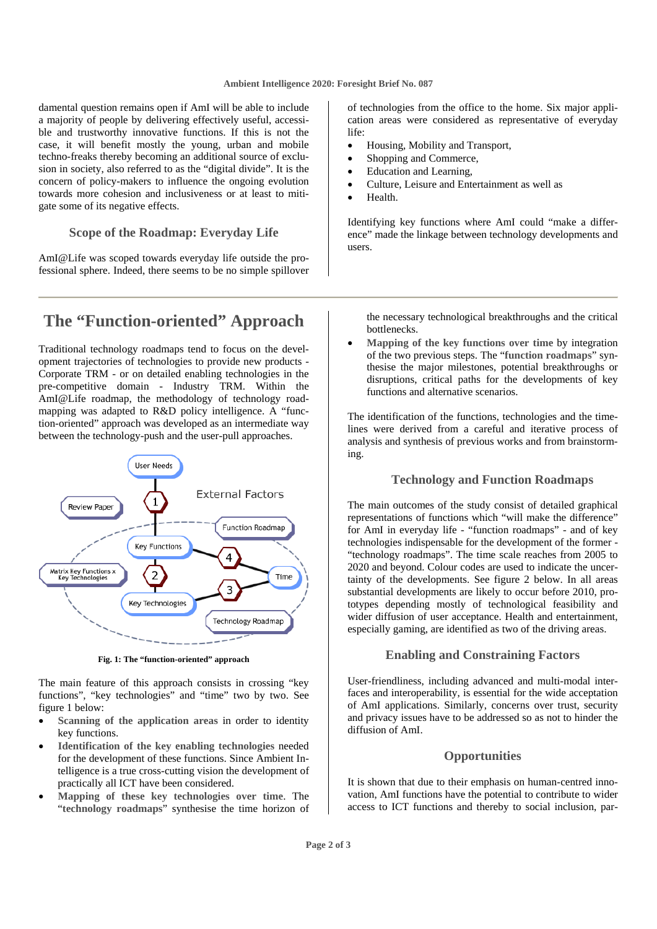damental question remains open if AmI will be able to include a majority of people by delivering effectively useful, accessible and trustworthy innovative functions. If this is not the case, it will benefit mostly the young, urban and mobile techno-freaks thereby becoming an additional source of exclusion in society, also referred to as the "digital divide". It is the concern of policy-makers to influence the ongoing evolution towards more cohesion and inclusiveness or at least to mitigate some of its negative effects.

#### **Scope of the Roadmap: Everyday Life**

AmI@Life was scoped towards everyday life outside the professional sphere. Indeed, there seems to be no simple spillover

# **The "Function-oriented" Approach**

Traditional technology roadmaps tend to focus on the development trajectories of technologies to provide new products - Corporate TRM - or on detailed enabling technologies in the pre-competitive domain - Industry TRM. Within the AmI@Life roadmap, the methodology of technology roadmapping was adapted to R&D policy intelligence. A "function-oriented" approach was developed as an intermediate way between the technology-push and the user-pull approaches.



**Fig. 1: The "function-oriented" approach** 

The main feature of this approach consists in crossing "key functions", "key technologies" and "time" two by two. See figure 1 below:

- **Scanning of the application areas** in order to identity key functions.
- **Identification of the key enabling technologies** needed for the development of these functions. Since Ambient Intelligence is a true cross-cutting vision the development of practically all ICT have been considered.
- **Mapping of these key technologies over time**. The "**technology roadmaps**" synthesise the time horizon of

of technologies from the office to the home. Six major application areas were considered as representative of everyday life:

- Housing, Mobility and Transport,
- Shopping and Commerce,
- Education and Learning,
- Culture, Leisure and Entertainment as well as
- Health.

Identifying key functions where AmI could "make a difference" made the linkage between technology developments and users.

the necessary technological breakthroughs and the critical bottlenecks.

• **Mapping of the key functions over time** by integration of the two previous steps. The "**function roadmaps**" synthesise the major milestones, potential breakthroughs or disruptions, critical paths for the developments of key functions and alternative scenarios.

The identification of the functions, technologies and the timelines were derived from a careful and iterative process of analysis and synthesis of previous works and from brainstorming.

#### **Technology and Function Roadmaps**

The main outcomes of the study consist of detailed graphical representations of functions which "will make the difference" for AmI in everyday life - "function roadmaps" - and of key technologies indispensable for the development of the former - "technology roadmaps". The time scale reaches from 2005 to 2020 and beyond. Colour codes are used to indicate the uncertainty of the developments. See figure 2 below. In all areas substantial developments are likely to occur before 2010, prototypes depending mostly of technological feasibility and wider diffusion of user acceptance. Health and entertainment, especially gaming, are identified as two of the driving areas.

#### **Enabling and Constraining Factors**

User-friendliness, including advanced and multi-modal interfaces and interoperability, is essential for the wide acceptation of AmI applications. Similarly, concerns over trust, security and privacy issues have to be addressed so as not to hinder the diffusion of AmI.

#### **Opportunities**

It is shown that due to their emphasis on human-centred innovation, AmI functions have the potential to contribute to wider access to ICT functions and thereby to social inclusion, par-